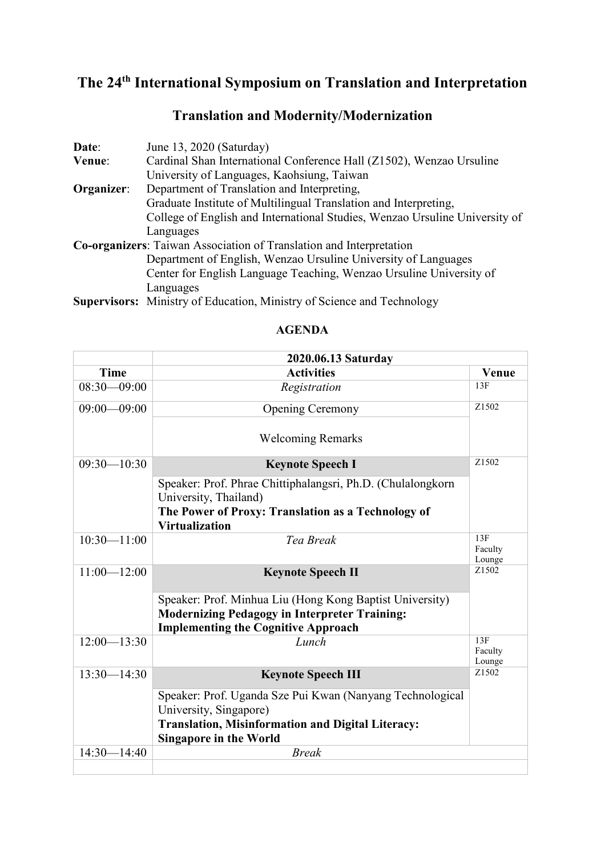## **The 24th International Symposium on Translation and Interpretation**

| Date:      | June 13, 2020 (Saturday)                                                    |
|------------|-----------------------------------------------------------------------------|
| Venue:     | Cardinal Shan International Conference Hall (Z1502), Wenzao Ursuline        |
|            | University of Languages, Kaohsiung, Taiwan                                  |
| Organizer: | Department of Translation and Interpreting,                                 |
|            | Graduate Institute of Multilingual Translation and Interpreting,            |
|            | College of English and International Studies, Wenzao Ursuline University of |
|            | Languages                                                                   |
|            | <b>Co-organizers:</b> Taiwan Association of Translation and Interpretation  |
|            | Department of English, Wenzao Ursuline University of Languages              |
|            | Center for English Language Teaching, Wenzao Ursuline University of         |
|            | Languages                                                                   |
|            |                                                                             |

## **Translation and Modernity/Modernization**

**Supervisors:** Ministry of Education, Ministry of Science and Technology

|                 | 2020.06.13 Saturday                                                                       |                          |
|-----------------|-------------------------------------------------------------------------------------------|--------------------------|
| <b>Time</b>     | <b>Activities</b>                                                                         | <b>Venue</b>             |
| $08:30 - 09:00$ | Registration                                                                              | 13F                      |
| $09:00 - 09:00$ | <b>Opening Ceremony</b>                                                                   | Z1502                    |
|                 | <b>Welcoming Remarks</b>                                                                  |                          |
| $09:30 - 10:30$ | <b>Keynote Speech I</b>                                                                   | Z <sub>1502</sub>        |
|                 | Speaker: Prof. Phrae Chittiphalangsri, Ph.D. (Chulalongkorn<br>University, Thailand)      |                          |
|                 | The Power of Proxy: Translation as a Technology of<br><b>Virtualization</b>               |                          |
| $10:30 - 11:00$ | Tea Break                                                                                 | 13F<br>Faculty<br>Lounge |
| $11:00 - 12:00$ | <b>Keynote Speech II</b>                                                                  | Z1502                    |
|                 | Speaker: Prof. Minhua Liu (Hong Kong Baptist University)                                  |                          |
|                 | <b>Modernizing Pedagogy in Interpreter Training:</b>                                      |                          |
|                 | <b>Implementing the Cognitive Approach</b>                                                |                          |
| $12:00 - 13:30$ | Lunch                                                                                     | 13F<br>Faculty<br>Lounge |
| $13:30 - 14:30$ | <b>Keynote Speech III</b>                                                                 | Z1502                    |
|                 | Speaker: Prof. Uganda Sze Pui Kwan (Nanyang Technological<br>University, Singapore)       |                          |
|                 | <b>Translation, Misinformation and Digital Literacy:</b><br><b>Singapore in the World</b> |                          |
| $14:30 - 14:40$ | <b>Break</b>                                                                              |                          |
|                 |                                                                                           |                          |

## **AGENDA**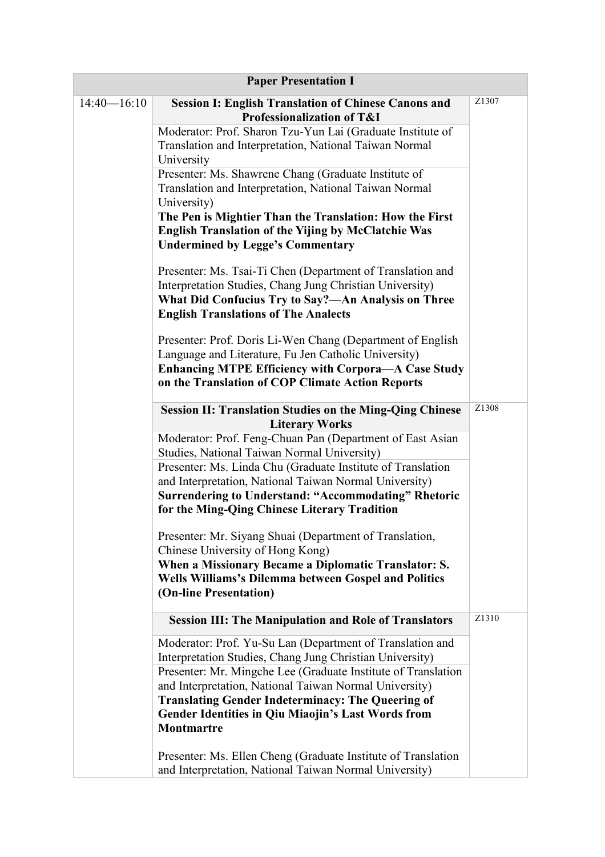| <b>Paper Presentation I</b> |                                                                                                                                                                                                                                                                                                                                                                                                |                   |  |  |  |
|-----------------------------|------------------------------------------------------------------------------------------------------------------------------------------------------------------------------------------------------------------------------------------------------------------------------------------------------------------------------------------------------------------------------------------------|-------------------|--|--|--|
| $14:40 - 16:10$             | <b>Session I: English Translation of Chinese Canons and</b><br>Professionalization of T&I                                                                                                                                                                                                                                                                                                      | Z <sub>1307</sub> |  |  |  |
|                             | Moderator: Prof. Sharon Tzu-Yun Lai (Graduate Institute of<br>Translation and Interpretation, National Taiwan Normal<br>University                                                                                                                                                                                                                                                             |                   |  |  |  |
|                             | Presenter: Ms. Shawrene Chang (Graduate Institute of<br>Translation and Interpretation, National Taiwan Normal<br>University)                                                                                                                                                                                                                                                                  |                   |  |  |  |
|                             | The Pen is Mightier Than the Translation: How the First<br>English Translation of the Yijing by McClatchie Was<br><b>Undermined by Legge's Commentary</b>                                                                                                                                                                                                                                      |                   |  |  |  |
|                             | Presenter: Ms. Tsai-Ti Chen (Department of Translation and<br>Interpretation Studies, Chang Jung Christian University)<br>What Did Confucius Try to Say?—An Analysis on Three<br><b>English Translations of The Analects</b>                                                                                                                                                                   |                   |  |  |  |
|                             | Presenter: Prof. Doris Li-Wen Chang (Department of English<br>Language and Literature, Fu Jen Catholic University)<br><b>Enhancing MTPE Efficiency with Corpora-A Case Study</b><br>on the Translation of COP Climate Action Reports                                                                                                                                                           |                   |  |  |  |
|                             | <b>Session II: Translation Studies on the Ming-Qing Chinese</b><br><b>Literary Works</b>                                                                                                                                                                                                                                                                                                       | Z1308             |  |  |  |
|                             | Moderator: Prof. Feng-Chuan Pan (Department of East Asian<br>Studies, National Taiwan Normal University)                                                                                                                                                                                                                                                                                       |                   |  |  |  |
|                             | Presenter: Ms. Linda Chu (Graduate Institute of Translation<br>and Interpretation, National Taiwan Normal University)<br><b>Surrendering to Understand: "Accommodating" Rhetoric</b><br>for the Ming-Qing Chinese Literary Tradition                                                                                                                                                           |                   |  |  |  |
|                             | Presenter: Mr. Siyang Shuai (Department of Translation,<br>Chinese University of Hong Kong)<br>When a Missionary Became a Diplomatic Translator: S.<br>Wells Williams's Dilemma between Gospel and Politics<br>(On-line Presentation)                                                                                                                                                          |                   |  |  |  |
|                             | <b>Session III: The Manipulation and Role of Translators</b>                                                                                                                                                                                                                                                                                                                                   | Z1310             |  |  |  |
|                             | Moderator: Prof. Yu-Su Lan (Department of Translation and<br>Interpretation Studies, Chang Jung Christian University)<br>Presenter: Mr. Mingche Lee (Graduate Institute of Translation<br>and Interpretation, National Taiwan Normal University)<br><b>Translating Gender Indeterminacy: The Queering of</b><br><b>Gender Identities in Qiu Miaojin's Last Words from</b><br><b>Montmartre</b> |                   |  |  |  |
|                             | Presenter: Ms. Ellen Cheng (Graduate Institute of Translation<br>and Interpretation, National Taiwan Normal University)                                                                                                                                                                                                                                                                        |                   |  |  |  |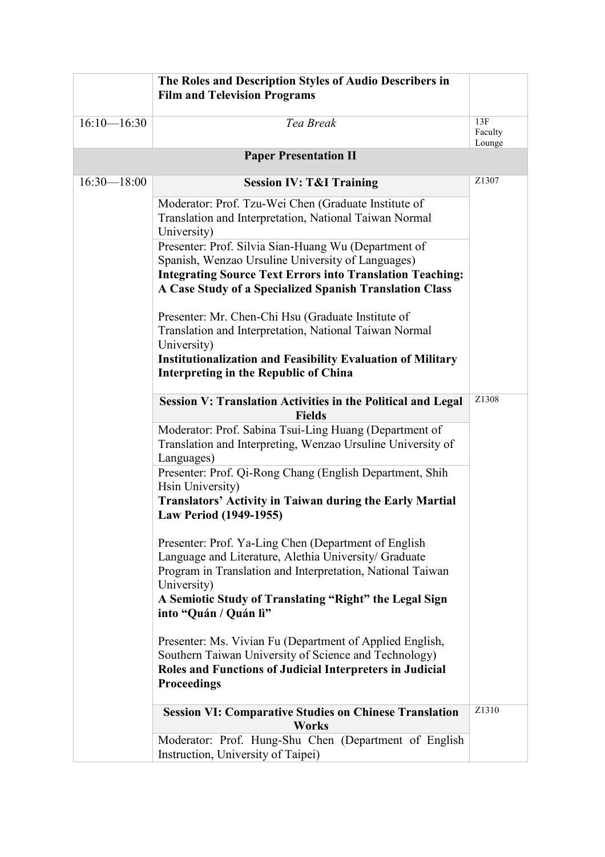|                 | The Roles and Description Styles of Audio Describers in<br><b>Film and Television Programs</b>                                      |                          |
|-----------------|-------------------------------------------------------------------------------------------------------------------------------------|--------------------------|
|                 |                                                                                                                                     |                          |
| $16:10 - 16:30$ | Tea Break                                                                                                                           | 13F<br>Faculty<br>Lounge |
|                 | <b>Paper Presentation II</b>                                                                                                        |                          |
| $16:30 - 18:00$ | <b>Session IV: T&amp;I Training</b>                                                                                                 | Z1307                    |
|                 | Moderator: Prof. Tzu-Wei Chen (Graduate Institute of<br>Translation and Interpretation, National Taiwan Normal<br>University)       |                          |
|                 | Presenter: Prof. Silvia Sian-Huang Wu (Department of<br>Spanish, Wenzao Ursuline University of Languages)                           |                          |
|                 | <b>Integrating Source Text Errors into Translation Teaching:</b><br>A Case Study of a Specialized Spanish Translation Class         |                          |
|                 | Presenter: Mr. Chen-Chi Hsu (Graduate Institute of                                                                                  |                          |
|                 | Translation and Interpretation, National Taiwan Normal<br>University)                                                               |                          |
|                 | <b>Institutionalization and Feasibility Evaluation of Military</b><br>Interpreting in the Republic of China                         |                          |
|                 | <b>Session V: Translation Activities in the Political and Legal</b><br><b>Fields</b>                                                | Z1308                    |
|                 | Moderator: Prof. Sabina Tsui-Ling Huang (Department of<br>Translation and Interpreting, Wenzao Ursuline University of<br>Languages) |                          |
|                 | Presenter: Prof. Qi-Rong Chang (English Department, Shih<br>Hsin University)                                                        |                          |
|                 | <b>Translators' Activity in Taiwan during the Early Martial</b><br>Law Period (1949-1955)                                           |                          |
|                 | Presenter: Prof. Ya-Ling Chen (Department of English<br>Language and Literature, Alethia University/ Graduate                       |                          |
|                 | Program in Translation and Interpretation, National Taiwan<br>University)                                                           |                          |
|                 | A Semiotic Study of Translating "Right" the Legal Sign<br>into "Quán / Quán lì"                                                     |                          |
|                 | Presenter: Ms. Vivian Fu (Department of Applied English,<br>Southern Taiwan University of Science and Technology)                   |                          |
|                 | Roles and Functions of Judicial Interpreters in Judicial<br><b>Proceedings</b>                                                      |                          |
|                 | <b>Session VI: Comparative Studies on Chinese Translation</b><br><b>Works</b>                                                       | Z1310                    |
|                 | Moderator: Prof. Hung-Shu Chen (Department of English<br>Instruction, University of Taipei)                                         |                          |